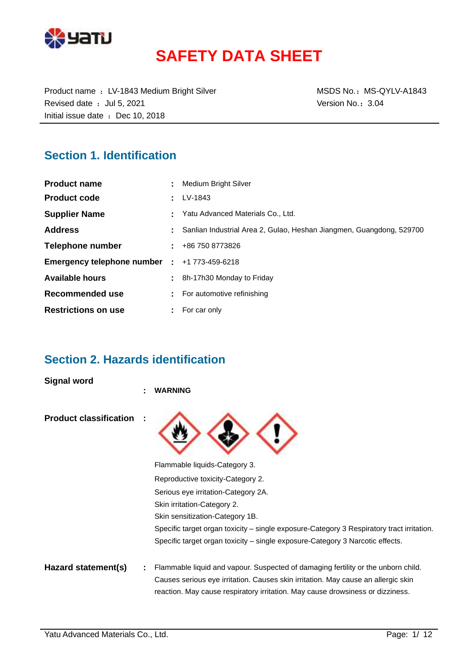

# **SAFETY DATA SHEET**

Product name : LV-1843 Medium Bright Silver MSDS No.: MS-QYLV-A1843 Revised date : Jul 5, 2021 **Version No.: 3.04** Initial issue date : Dec 10, 2018

### **Section 1. Identification**

| <b>Product name</b>                          | Medium Bright Silver                                                 |
|----------------------------------------------|----------------------------------------------------------------------|
| <b>Product code</b>                          | LV-1843                                                              |
| <b>Supplier Name</b>                         | Yatu Advanced Materials Co., Ltd.                                    |
| <b>Address</b>                               | Sanlian Industrial Area 2, Gulao, Heshan Jiangmen, Guangdong, 529700 |
| Telephone number                             | $\pm 486$ 750 8773826                                                |
| Emergency telephone number : +1 773-459-6218 |                                                                      |
| <b>Available hours</b>                       | 8h-17h30 Monday to Friday                                            |
| Recommended use                              | For automotive refinishing                                           |
| <b>Restrictions on use</b>                   | For car only                                                         |

### **Section 2. Hazards identification**

**Signal word**

|                               | <b>WARNING</b>                                                                            |
|-------------------------------|-------------------------------------------------------------------------------------------|
| <b>Product classification</b> |                                                                                           |
|                               | Flammable liquids-Category 3.                                                             |
|                               | Reproductive toxicity-Category 2.                                                         |
|                               | Serious eye irritation-Category 2A.                                                       |
|                               | Skin irritation-Category 2.                                                               |
|                               | Skin sensitization-Category 1B.                                                           |
|                               | Specific target organ toxicity – single exposure-Category 3 Respiratory tract irritation. |
|                               | Specific target organ toxicity – single exposure-Category 3 Narcotic effects.             |
| Hazard statement(s)           | Flammable liquid and vapour. Suspected of damaging fertility or the unborn child.         |
|                               | Causes serious eye irritation. Causes skin irritation. May cause an allergic skin         |
|                               | reaction. May cause respiratory irritation. May cause drowsiness or dizziness.            |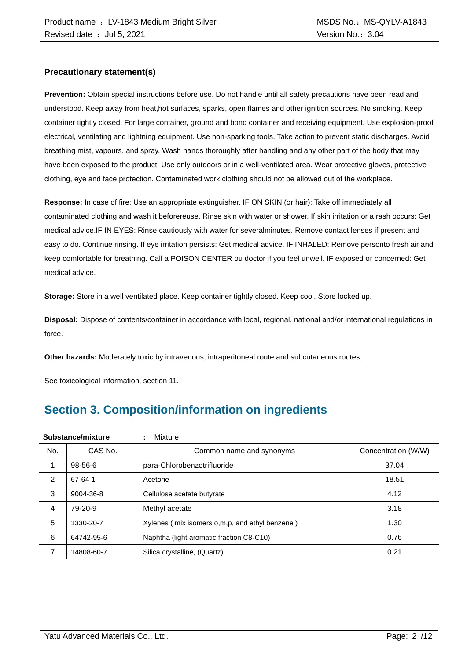#### **Precautionary statement(s)**

**Prevention:** Obtain special instructions before use. Do not handle until all safety precautions have been read and understood. Keep away from heat,hot surfaces, sparks, open flames and other ignition sources. No smoking. Keep container tightly closed. For large container, ground and bond container and receiving equipment. Use explosion-proof electrical, ventilating and lightning equipment. Use non-sparking tools. Take action to prevent static discharges. Avoid breathing mist, vapours, and spray. Wash hands thoroughly after handling and any other part of the body that may have been exposed to the product. Use only outdoors or in a well-ventilated area. Wear protective gloves, protective clothing, eye and face protection. Contaminated work clothing should not be allowed out of the workplace.

**Response:** In case of fire: Use an appropriate extinguisher. IF ON SKIN (or hair): Take off immediately all contaminated clothing and wash it beforereuse. Rinse skin with water or shower. If skin irritation or a rash occurs: Get medical advice.IF IN EYES: Rinse cautiously with water for severalminutes. Remove contact lenses if present and easy to do. Continue rinsing. If eye irritation persists: Get medical advice. IF INHALED: Remove personto fresh air and keep comfortable for breathing. Call a POISON CENTER ou doctor if you feel unwell. IF exposed or concerned: Get medical advice.

**Storage:** Store in a well ventilated place. Keep container tightly closed. Keep cool. Store locked up.

**Disposal:** Dispose of contents/container in accordance with local, regional, national and/or international regulations in force.

**Other hazards:** Moderately toxic by intravenous, intraperitoneal route and subcutaneous routes.

See toxicological information, section 11.

## **Section 3. Composition/information on ingredients**

|     | Substance/mixture | Mixture<br>÷                                   |                     |
|-----|-------------------|------------------------------------------------|---------------------|
| No. | CAS No.           | Common name and synonyms                       | Concentration (W/W) |
|     | $98 - 56 - 6$     | para-Chlorobenzotrifluoride                    | 37.04               |
| 2   | 67-64-1           | Acetone                                        | 18.51               |
| 3   | 9004-36-8         | Cellulose acetate butyrate                     | 4.12                |
| 4   | 79-20-9           | Methyl acetate                                 | 3.18                |
| 5   | 1330-20-7         | Xylenes (mix isomers o,m,p, and ethyl benzene) | 1.30                |
| 6   | 64742-95-6        | Naphtha (light aromatic fraction C8-C10)       | 0.76                |
| 7   | 14808-60-7        | Silica crystalline, (Quartz)                   | 0.21                |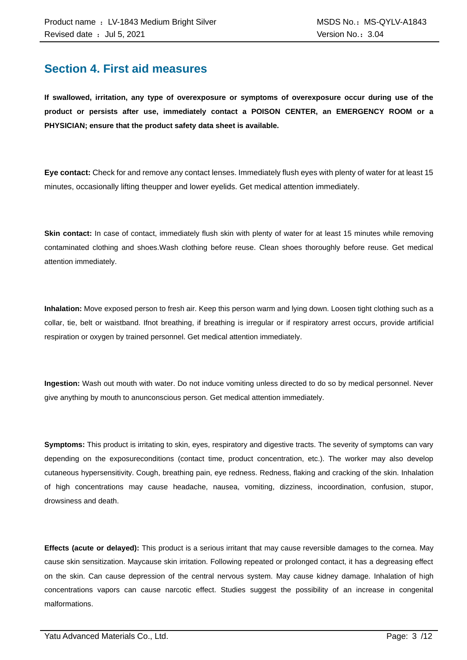### **Section 4. First aid measures**

**If swallowed, irritation, any type of overexposure or symptoms of overexposure occur during use of the product or persists after use, immediately contact a POISON CENTER, an EMERGENCY ROOM or a PHYSICIAN; ensure that the product safety data sheet is available.**

**Eye contact:** Check for and remove any contact lenses. Immediately flush eyes with plenty of water for at least 15 minutes, occasionally lifting theupper and lower eyelids. Get medical attention immediately.

**Skin contact:** In case of contact, immediately flush skin with plenty of water for at least 15 minutes while removing contaminated clothing and shoes.Wash clothing before reuse. Clean shoes thoroughly before reuse. Get medical attention immediately.

**Inhalation:** Move exposed person to fresh air. Keep this person warm and lying down. Loosen tight clothing such as a collar, tie, belt or waistband. Ifnot breathing, if breathing is irregular or if respiratory arrest occurs, provide artificial respiration or oxygen by trained personnel. Get medical attention immediately.

**Ingestion:** Wash out mouth with water. Do not induce vomiting unless directed to do so by medical personnel. Never give anything by mouth to anunconscious person. Get medical attention immediately.

**Symptoms:** This product is irritating to skin, eyes, respiratory and digestive tracts. The severity of symptoms can vary depending on the exposureconditions (contact time, product concentration, etc.). The worker may also develop cutaneous hypersensitivity. Cough, breathing pain, eye redness. Redness, flaking and cracking of the skin. Inhalation of high concentrations may cause headache, nausea, vomiting, dizziness, incoordination, confusion, stupor, drowsiness and death.

**Effects (acute or delayed):** This product is a serious irritant that may cause reversible damages to the cornea. May cause skin sensitization. Maycause skin irritation. Following repeated or prolonged contact, it has a degreasing effect on the skin. Can cause depression of the central nervous system. May cause kidney damage. Inhalation of high concentrations vapors can cause narcotic effect. Studies suggest the possibility of an increase in congenital malformations.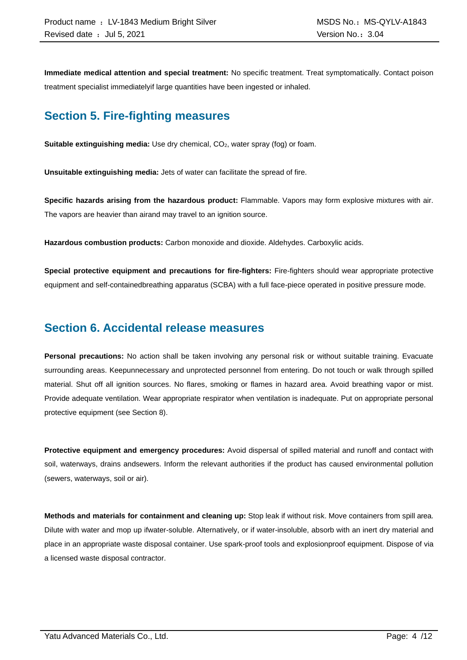**Immediate medical attention and special treatment:** No specific treatment. Treat symptomatically. Contact poison treatment specialist immediatelyif large quantities have been ingested or inhaled.

### **Section 5. Fire-fighting measures**

**Suitable extinguishing media:** Use dry chemical, CO<sub>2</sub>, water spray (fog) or foam.

**Unsuitable extinguishing media:** Jets of water can facilitate the spread of fire.

**Specific hazards arising from the hazardous product:** Flammable. Vapors may form explosive mixtures with air. The vapors are heavier than airand may travel to an ignition source.

**Hazardous combustion products:** Carbon monoxide and dioxide. Aldehydes. Carboxylic acids.

**Special protective equipment and precautions for fire-fighters:** Fire-fighters should wear appropriate protective equipment and self-containedbreathing apparatus (SCBA) with a full face-piece operated in positive pressure mode.

### **Section 6. Accidental release measures**

**Personal precautions:** No action shall be taken involving any personal risk or without suitable training. Evacuate surrounding areas. Keepunnecessary and unprotected personnel from entering. Do not touch or walk through spilled material. Shut off all ignition sources. No flares, smoking or flames in hazard area. Avoid breathing vapor or mist. Provide adequate ventilation. Wear appropriate respirator when ventilation is inadequate. Put on appropriate personal protective equipment (see Section 8).

**Protective equipment and emergency procedures:** Avoid dispersal of spilled material and runoff and contact with soil, waterways, drains andsewers. Inform the relevant authorities if the product has caused environmental pollution (sewers, waterways, soil or air).

**Methods and materials for containment and cleaning up:** Stop leak if without risk. Move containers from spill area. Dilute with water and mop up ifwater-soluble. Alternatively, or if water-insoluble, absorb with an inert dry material and place in an appropriate waste disposal container. Use spark-proof tools and explosionproof equipment. Dispose of via a licensed waste disposal contractor.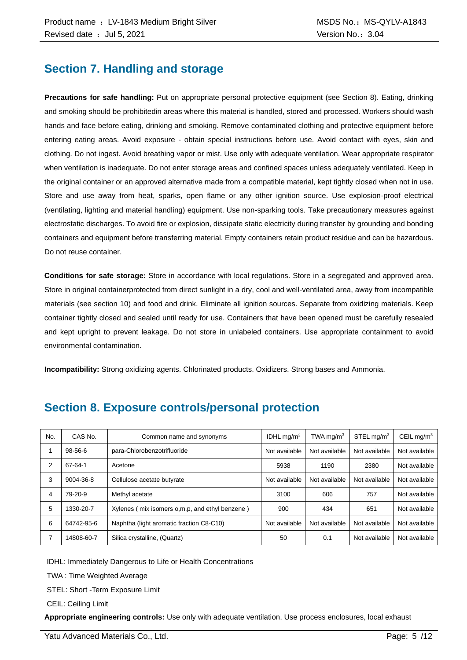### **Section 7. Handling and storage**

**Precautions for safe handling:** Put on appropriate personal protective equipment (see Section 8). Eating, drinking and smoking should be prohibitedin areas where this material is handled, stored and processed. Workers should wash hands and face before eating, drinking and smoking. Remove contaminated clothing and protective equipment before entering eating areas. Avoid exposure - obtain special instructions before use. Avoid contact with eyes, skin and clothing. Do not ingest. Avoid breathing vapor or mist. Use only with adequate ventilation. Wear appropriate respirator when ventilation is inadequate. Do not enter storage areas and confined spaces unless adequately ventilated. Keep in the original container or an approved alternative made from a compatible material, kept tightly closed when not in use. Store and use away from heat, sparks, open flame or any other ignition source. Use explosion-proof electrical (ventilating, lighting and material handling) equipment. Use non-sparking tools. Take precautionary measures against electrostatic discharges. To avoid fire or explosion, dissipate static electricity during transfer by grounding and bonding containers and equipment before transferring material. Empty containers retain product residue and can be hazardous. Do not reuse container.

**Conditions for safe storage:** Store in accordance with local regulations. Store in a segregated and approved area. Store in original containerprotected from direct sunlight in a dry, cool and well-ventilated area, away from incompatible materials (see section 10) and food and drink. Eliminate all ignition sources. Separate from oxidizing materials. Keep container tightly closed and sealed until ready for use. Containers that have been opened must be carefully resealed and kept upright to prevent leakage. Do not store in unlabeled containers. Use appropriate containment to avoid environmental contamination.

**Incompatibility:** Strong oxidizing agents. Chlorinated products. Oxidizers. Strong bases and Ammonia.

| No. | CAS No.    | Common name and synonyms                         | IDHL $mq/m3$  | TWA mg/m $3$  | STEL mg/m <sup>3</sup> | CEIL mg/ $m3$ |
|-----|------------|--------------------------------------------------|---------------|---------------|------------------------|---------------|
|     | 98-56-6    | para-Chlorobenzotrifluoride                      | Not available | Not available | Not available          | Not available |
| 2   | 67-64-1    | Acetone                                          | 5938          | 1190          | 2380                   | Not available |
| 3   | 9004-36-8  | Cellulose acetate butyrate                       | Not available | Not available | Not available          | Not available |
| 4   | 79-20-9    | Methyl acetate                                   | 3100          | 606           | 757                    | Not available |
| 5   | 1330-20-7  | Xylenes (mix isomers o, m, p, and ethyl benzene) | 900           | 434           | 651                    | Not available |
| 6   | 64742-95-6 | Naphtha (light aromatic fraction C8-C10)         | Not available | Not available | Not available          | Not available |
|     | 14808-60-7 | Silica crystalline, (Quartz)                     | 50            | 0.1           | Not available          | Not available |

### **Section 8. Exposure controls/personal protection**

IDHL: Immediately Dangerous to Life or Health Concentrations

TWA : Time Weighted Average

STEL: Short -Term Exposure Limit

CEIL: Ceiling Limit

**Appropriate engineering controls:** Use only with adequate ventilation. Use process enclosures, local exhaust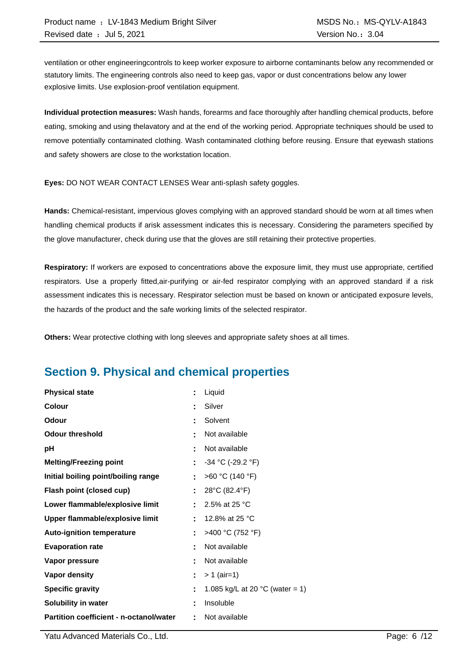ventilation or other engineeringcontrols to keep worker exposure to airborne contaminants below any recommended or statutory limits. The engineering controls also need to keep gas, vapor or dust concentrations below any lower explosive limits. Use explosion-proof ventilation equipment.

**Individual protection measures:** Wash hands, forearms and face thoroughly after handling chemical products, before eating, smoking and using thelavatory and at the end of the working period. Appropriate techniques should be used to remove potentially contaminated clothing. Wash contaminated clothing before reusing. Ensure that eyewash stations and safety showers are close to the workstation location.

**Eyes:** DO NOT WEAR CONTACT LENSES Wear anti-splash safety goggles.

**Hands:** Chemical-resistant, impervious gloves complying with an approved standard should be worn at all times when handling chemical products if arisk assessment indicates this is necessary. Considering the parameters specified by the glove manufacturer, check during use that the gloves are still retaining their protective properties.

**Respiratory:** If workers are exposed to concentrations above the exposure limit, they must use appropriate, certified respirators. Use a properly fitted,air-purifying or air-fed respirator complying with an approved standard if a risk assessment indicates this is necessary. Respirator selection must be based on known or anticipated exposure levels, the hazards of the product and the safe working limits of the selected respirator.

**Others:** Wear protective clothing with long sleeves and appropriate safety shoes at all times.

## **Section 9. Physical and chemical properties**

| <b>Physical state</b>                   | ÷  | Liquid                                    |
|-----------------------------------------|----|-------------------------------------------|
| Colour                                  | t  | Silver                                    |
| Odour                                   | t  | Solvent                                   |
| <b>Odour threshold</b>                  | ٠  | Not available                             |
| рH                                      | t  | Not available                             |
| <b>Melting/Freezing point</b>           | ÷. | $-34$ °C (-29.2 °F)                       |
| Initial boiling point/boiling range     | ÷  | >60 °C (140 °F)                           |
| Flash point (closed cup)                | Ē. | 28°C (82.4°F)                             |
| Lower flammable/explosive limit         |    | 2.5% at 25 °C                             |
| Upper flammable/explosive limit         | ÷  | 12.8% at 25 °C                            |
| <b>Auto-ignition temperature</b>        | ÷  | >400 °C (752 °F)                          |
| <b>Evaporation rate</b>                 | t  | Not available                             |
| Vapor pressure                          | t  | Not available                             |
| <b>Vapor density</b>                    | ÷  | $> 1$ (air=1)                             |
| <b>Specific gravity</b>                 | ÷  | 1.085 kg/L at 20 $^{\circ}$ C (water = 1) |
| Solubility in water                     | t  | Insoluble                                 |
| Partition coefficient - n-octanol/water | ÷. | Not available                             |

Yatu Advanced Materials Co., Ltd. Page: 6 /12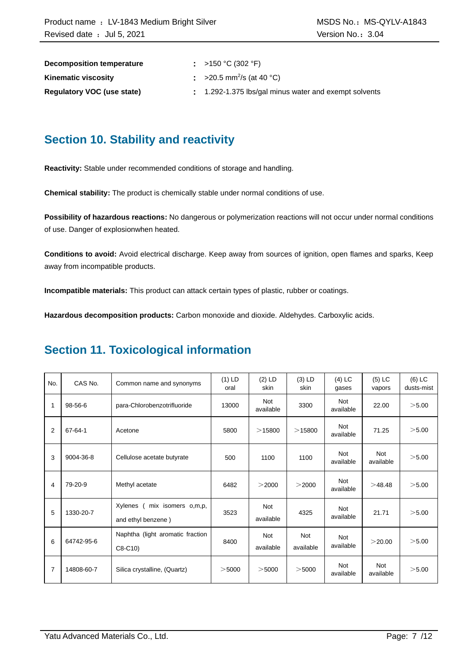| Decomposition temperature         | : >150 °C (302 °F)                                  |
|-----------------------------------|-----------------------------------------------------|
| <b>Kinematic viscosity</b>        | $\approx$ >20.5 mm <sup>2</sup> /s (at 40 °C)       |
| <b>Requiatory VOC (use state)</b> | 1.292-1.375 lbs/gal minus water and exempt solvents |

### **Section 10. Stability and reactivity**

**Reactivity:** Stable under recommended conditions of storage and handling.

**Chemical stability:** The product is chemically stable under normal conditions of use.

**Possibility of hazardous reactions:** No dangerous or polymerization reactions will not occur under normal conditions of use. Danger of explosionwhen heated.

**Conditions to avoid:** Avoid electrical discharge. Keep away from sources of ignition, open flames and sparks, Keep away from incompatible products.

**Incompatible materials:** This product can attack certain types of plastic, rubber or coatings.

**Hazardous decomposition products:** Carbon monoxide and dioxide. Aldehydes. Carboxylic acids.

### **Section 11. Toxicological information**

| No. | CAS No.       | Common name and synonyms                            | $(1)$ LD<br>oral | $(2)$ LD<br>skin        | $(3)$ LD<br>skin        | $(4)$ LC<br>gases       | $(5)$ LC<br>vapors      | $(6)$ LC<br>dusts-mist |
|-----|---------------|-----------------------------------------------------|------------------|-------------------------|-------------------------|-------------------------|-------------------------|------------------------|
| 1   | 98-56-6       | para-Chlorobenzotrifluoride                         | 13000            | <b>Not</b><br>available | 3300                    | Not<br>available        | 22.00                   | >5.00                  |
| 2   | $67 - 64 - 1$ | Acetone                                             | 5800             | >15800                  | >15800                  | <b>Not</b><br>available | 71.25                   | >5.00                  |
| 3   | 9004-36-8     | Cellulose acetate butyrate                          | 500              | 1100                    | 1100                    | <b>Not</b><br>available | <b>Not</b><br>available | >5.00                  |
| 4   | 79-20-9       | Methyl acetate                                      | 6482             | >2000                   | >2000                   | <b>Not</b><br>available | >48.48                  | >5.00                  |
| 5   | 1330-20-7     | Xylenes<br>mix isomers o,m,p,<br>and ethyl benzene) | 3523             | <b>Not</b><br>available | 4325                    | <b>Not</b><br>available | 21.71                   | >5.00                  |
| 6   | 64742-95-6    | Naphtha (light aromatic fraction<br>$C8-C10$        | 8400             | <b>Not</b><br>available | <b>Not</b><br>available | <b>Not</b><br>available | >20.00                  | >5.00                  |
| 7   | 14808-60-7    | Silica crystalline, (Quartz)                        | $>$ 5000         | $>$ 5000                | $>$ 5000                | <b>Not</b><br>available | <b>Not</b><br>available | >5.00                  |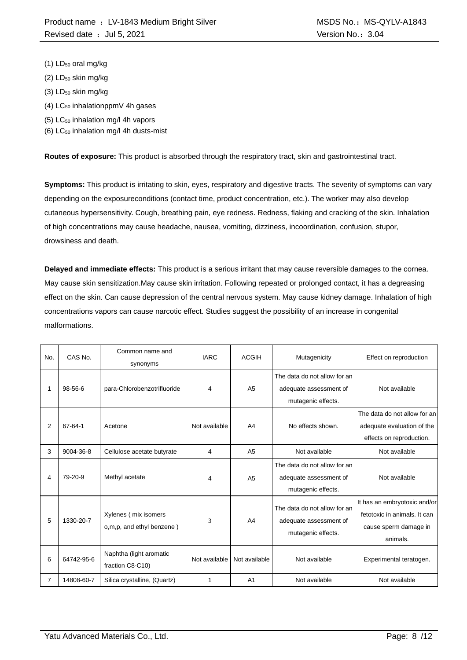- $(1)$  LD<sub>50</sub> oral mg/kg
- $(2)$  LD<sub>50</sub> skin mg/kg
- $(3)$  LD<sub>50</sub> skin mg/kg
- $(4)$  LC<sub>50</sub> inhalationppmV 4h gases
- (5) LC<sup>50</sup> inhalation mg/l 4h vapors
- (6)  $LC_{50}$  inhalation mg/l 4h dusts-mist

**Routes of exposure:** This product is absorbed through the respiratory tract, skin and gastrointestinal tract.

**Symptoms:** This product is irritating to skin, eyes, respiratory and digestive tracts. The severity of symptoms can vary depending on the exposureconditions (contact time, product concentration, etc.). The worker may also develop cutaneous hypersensitivity. Cough, breathing pain, eye redness. Redness, flaking and cracking of the skin. Inhalation of high concentrations may cause headache, nausea, vomiting, dizziness, incoordination, confusion, stupor, drowsiness and death.

**Delayed and immediate effects:** This product is a serious irritant that may cause reversible damages to the cornea. May cause skin sensitization.May cause skin irritation. Following repeated or prolonged contact, it has a degreasing effect on the skin. Can cause depression of the central nervous system. May cause kidney damage. Inhalation of high concentrations vapors can cause narcotic effect. Studies suggest the possibility of an increase in congenital malformations.

| No. | CAS No.    | Common name and<br>synonyms                       | <b>IARC</b>   | <b>ACGIH</b>   | Mutagenicity                                                                 | Effect on reproduction                                                                            |
|-----|------------|---------------------------------------------------|---------------|----------------|------------------------------------------------------------------------------|---------------------------------------------------------------------------------------------------|
|     | 98-56-6    | para-Chlorobenzotrifluoride                       | 4             | A <sub>5</sub> | The data do not allow for an<br>adequate assessment of<br>mutagenic effects. | Not available                                                                                     |
| 2   | 67-64-1    | Acetone                                           | Not available | A <sub>4</sub> | No effects shown.                                                            | The data do not allow for an<br>adequate evaluation of the<br>effects on reproduction.            |
| 3   | 9004-36-8  | Cellulose acetate butyrate                        | 4             | A <sub>5</sub> | Not available                                                                | Not available                                                                                     |
| 4   | 79-20-9    | Methyl acetate                                    | 4             | A <sub>5</sub> | The data do not allow for an<br>adequate assessment of<br>mutagenic effects. | Not available                                                                                     |
| 5   | 1330-20-7  | Xylenes (mix isomers<br>o,m,p, and ethyl benzene) | 3             | A <sub>4</sub> | The data do not allow for an<br>adequate assessment of<br>mutagenic effects. | It has an embryotoxic and/or<br>fetotoxic in animals. It can<br>cause sperm damage in<br>animals. |
| 6   | 64742-95-6 | Naphtha (light aromatic<br>fraction C8-C10)       | Not available | Not available  | Not available                                                                | Experimental teratogen.                                                                           |
| 7   | 14808-60-7 | Silica crystalline, (Quartz)                      | 1             | A <sub>1</sub> | Not available                                                                | Not available                                                                                     |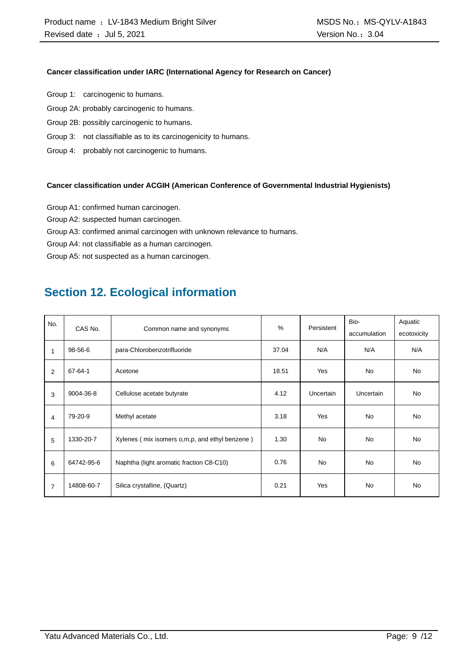#### **Cancer classification under IARC (International Agency for Research on Cancer)**

- Group 1: carcinogenic to humans.
- Group 2A: probably carcinogenic to humans.
- Group 2B: possibly carcinogenic to humans.
- Group 3: not classifiable as to its carcinogenicity to humans.
- Group 4: probably not carcinogenic to humans.

#### **Cancer classification under ACGIH (American Conference of Governmental Industrial Hygienists)**

- Group A1: confirmed human carcinogen.
- Group A2: suspected human carcinogen.
- Group A3: confirmed animal carcinogen with unknown relevance to humans.
- Group A4: not classifiable as a human carcinogen.

Group A5: not suspected as a human carcinogen.

### **Section 12. Ecological information**

| No.<br>CAS No. |               |                                                  | $\%$  | Persistent | Bio-             | Aquatic     |
|----------------|---------------|--------------------------------------------------|-------|------------|------------------|-------------|
|                |               | Common name and synonyms                         |       |            | accumulation     | ecotoxicity |
| $\mathbf{1}$   | 98-56-6       | para-Chlorobenzotrifluoride                      | 37.04 | N/A        | N/A              | N/A         |
| 2              | $67 - 64 - 1$ | Acetone                                          | 18.51 | Yes        | <b>No</b>        | <b>No</b>   |
| 3              | 9004-36-8     | Cellulose acetate butyrate                       | 4.12  | Uncertain  | <b>Uncertain</b> | <b>No</b>   |
| 4              | 79-20-9       | Methyl acetate                                   | 3.18  | Yes        | <b>No</b>        | <b>No</b>   |
| 5              | 1330-20-7     | Xylenes (mix isomers o, m, p, and ethyl benzene) | 1.30  | <b>No</b>  | <b>No</b>        | <b>No</b>   |
| 6              | 64742-95-6    | Naphtha (light aromatic fraction C8-C10)         | 0.76  | <b>No</b>  | <b>No</b>        | <b>No</b>   |
| $\overline{7}$ | 14808-60-7    | Silica crystalline, (Quartz)                     | 0.21  | Yes        | <b>No</b>        | <b>No</b>   |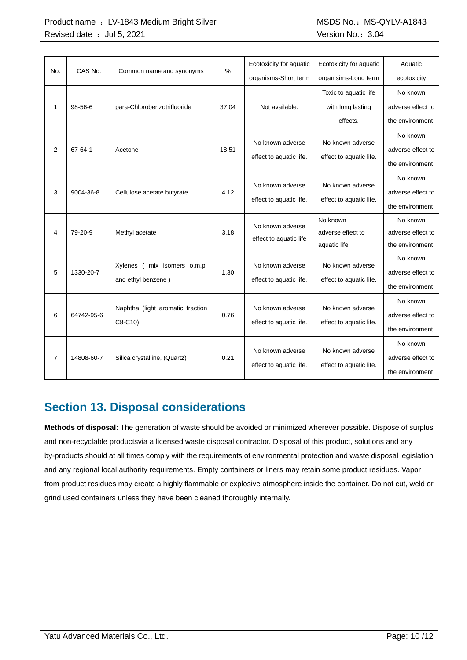#### Product name : LV-1843 Medium Bright Silver MSDS No.: MS-QYLV-A1843 Revised date : Jul 5, 2021 Case of the Version No.: 3.04

| No.            | CAS No.    |                                  | $\frac{0}{0}$ | Ecotoxicity for aquatic | Ecotoxicity for aquatic | Aquatic           |
|----------------|------------|----------------------------------|---------------|-------------------------|-------------------------|-------------------|
|                |            | Common name and synonyms         |               | organisms-Short term    | organisims-Long term    | ecotoxicity       |
|                |            |                                  |               |                         | Toxic to aquatic life   | No known          |
| 1              | $98-56-6$  | para-Chlorobenzotrifluoride      | 37.04         | Not available.          | with long lasting       | adverse effect to |
|                |            |                                  |               |                         | effects.                | the environment.  |
|                |            |                                  |               |                         |                         | No known          |
| 2              | 67-64-1    | Acetone                          | 18.51         | No known adverse        | No known adverse        | adverse effect to |
|                |            |                                  |               | effect to aquatic life. | effect to aquatic life. | the environment.  |
|                |            |                                  |               |                         |                         | No known          |
| 3              | 9004-36-8  | Cellulose acetate butyrate       | 4.12          | No known adverse        | No known adverse        | adverse effect to |
|                |            |                                  |               | effect to aquatic life. | effect to aquatic life. | the environment.  |
|                |            |                                  |               | No known adverse        | No known                | No known          |
| 4              | 79-20-9    | Methyl acetate                   | 3.18          | effect to aquatic life  | adverse effect to       | adverse effect to |
|                |            |                                  |               |                         | aquatic life.           | the environment.  |
|                |            |                                  |               | No known adverse        | No known adverse        | No known          |
| 5              | 1330-20-7  | Xylenes (<br>mix isomers o,m,p,  | 1.30          |                         |                         | adverse effect to |
|                |            | and ethyl benzene)               |               | effect to aquatic life. | effect to aquatic life. | the environment.  |
|                |            |                                  |               |                         |                         | No known          |
| 6              | 64742-95-6 | Naphtha (light aromatic fraction | 0.76          | No known adverse        | No known adverse        | adverse effect to |
|                |            | C8-C10)                          |               | effect to aquatic life. | effect to aquatic life. | the environment.  |
|                |            |                                  |               |                         |                         | No known          |
| $\overline{7}$ | 14808-60-7 | Silica crystalline, (Quartz)     | 0.21          | No known adverse        | No known adverse        | adverse effect to |
|                |            |                                  |               | effect to aquatic life. | effect to aquatic life. | the environment.  |

### **Section 13. Disposal considerations**

**Methods of disposal:** The generation of waste should be avoided or minimized wherever possible. Dispose of surplus and non-recyclable productsvia a licensed waste disposal contractor. Disposal of this product, solutions and any by-products should at all times comply with the requirements of environmental protection and waste disposal legislation and any regional local authority requirements. Empty containers or liners may retain some product residues. Vapor from product residues may create a highly flammable or explosive atmosphere inside the container. Do not cut, weld or grind used containers unless they have been cleaned thoroughly internally.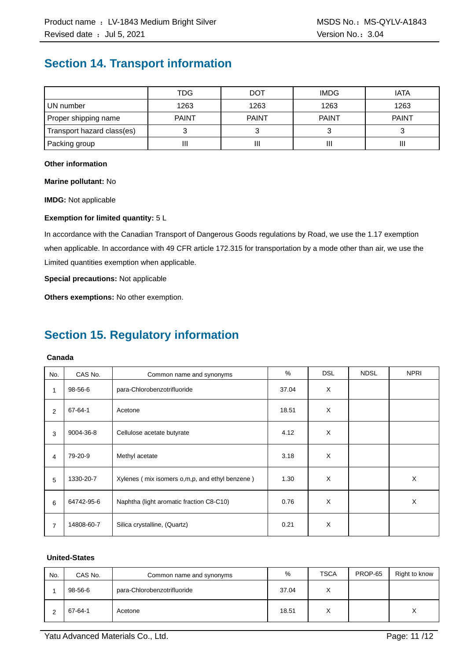### **Section 14. Transport information**

|                            | TDG          | DOT          | <b>IMDG</b>  | <b>IATA</b>  |
|----------------------------|--------------|--------------|--------------|--------------|
| UN number                  | 1263         | 1263         | 1263         | 1263         |
| Proper shipping name       | <b>PAINT</b> | <b>PAINT</b> | <b>PAINT</b> | <b>PAINT</b> |
| Transport hazard class(es) |              |              |              |              |
| Packing group              | II           | Ш            |              | Ш            |

#### **Other information**

**Marine pollutant:** No

**IMDG:** Not applicable

#### **Exemption for limited quantity:** 5 L

In accordance with the Canadian Transport of Dangerous Goods regulations by Road, we use the 1.17 exemption when applicable. In accordance with 49 CFR article 172.315 for transportation by a mode other than air, we use the Limited quantities exemption when applicable.

**Special precautions:** Not applicable

**Others exemptions:** No other exemption.

## **Section 15. Regulatory information**

#### **Canada**

| No.            | CAS No.    | Common name and synonyms                       | %     | <b>DSL</b> | <b>NDSL</b> | <b>NPRI</b> |
|----------------|------------|------------------------------------------------|-------|------------|-------------|-------------|
| 1              | 98-56-6    | para-Chlorobenzotrifluoride                    | 37.04 | X          |             |             |
| 2              | 67-64-1    | Acetone                                        | 18.51 | X          |             |             |
| 3              | 9004-36-8  | Cellulose acetate butyrate                     | 4.12  | X          |             |             |
| 4              | 79-20-9    | Methyl acetate                                 | 3.18  | X          |             |             |
| 5              | 1330-20-7  | Xylenes (mix isomers o,m,p, and ethyl benzene) | 1.30  | X          |             | X           |
| 6              | 64742-95-6 | Naphtha (light aromatic fraction C8-C10)       | 0.76  | X          |             | X           |
| $\overline{7}$ | 14808-60-7 | Silica crystalline, (Quartz)                   | 0.21  | X          |             |             |

#### **United-States**

| No. | CAS No. | Common name and synonyms    | %     | <b>TSCA</b>       | PROP-65 | Right to know |
|-----|---------|-----------------------------|-------|-------------------|---------|---------------|
|     | 98-56-6 | para-Chlorobenzotrifluoride | 37.04 | $\checkmark$      |         |               |
|     | 67-64-1 | Acetone                     | 18.51 | $\checkmark$<br>∧ |         | v<br>⋏        |